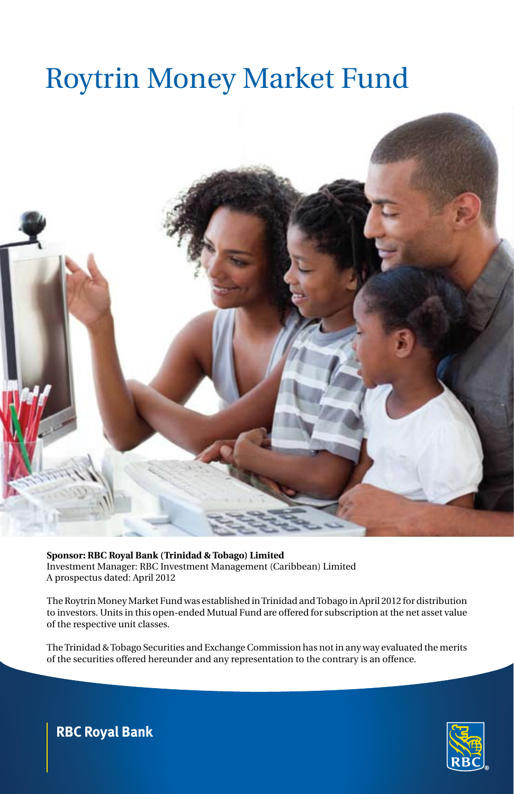

**Sponsor: RBC Royal Bank (Trinidad & Tobago) Limited**  Investment Manager: Rbc Investment Management (Caribbean) Limited A prospectus dated: April 2012

The Roytrin Money Market Fund was established in Trinidad and Tobago in April 2012 for distribution to investors. Units in this open-ended Mutual Fund are offered for subscription at the net asset value of the respective unit classes.

The Trinidad & Tobago Securities and Exchange Commission has not in any way evaluated the merits of the securities offered hereunder and any representation to the contrary is an offence.



## **RBC Royal Bank**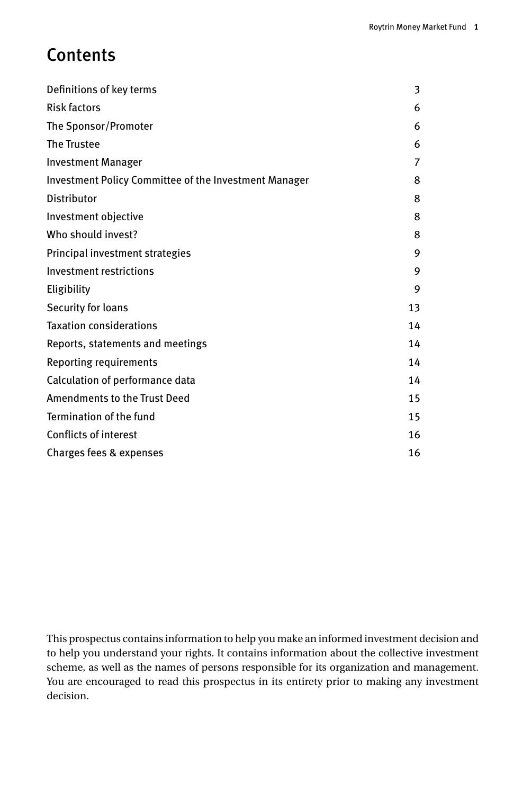# **Contents**

| Definitions of key terms                              | 3  |
|-------------------------------------------------------|----|
| <b>Risk factors</b>                                   | 6  |
| The Sponsor/Promoter                                  | 6  |
| The Trustee                                           | 6  |
| <b>Investment Manager</b>                             | 7  |
| Investment Policy Committee of the Investment Manager | 8  |
| Distributor                                           | 8  |
| Investment objective                                  | 8  |
| Who should invest?                                    | 8  |
| Principal investment strategies                       | 9  |
| Investment restrictions                               | 9  |
| Eligibility                                           | 9  |
| Security for loans                                    | 13 |
| <b>Taxation considerations</b>                        | 14 |
| Reports, statements and meetings                      | 14 |
| Reporting requirements                                | 14 |
| Calculation of performance data                       | 14 |
| Amendments to the Trust Deed                          | 15 |
| Termination of the fund                               | 15 |
| <b>Conflicts of interest</b>                          | 16 |
| Charges fees & expenses                               | 16 |

This prospectus contains information to help you make an informed investment decision and to help you understand your rights. It contains information about the collective investment scheme, as well as the names of persons responsible for its organization and management. You are encouraged to read this prospectus in its entirety prior to making any investment decision.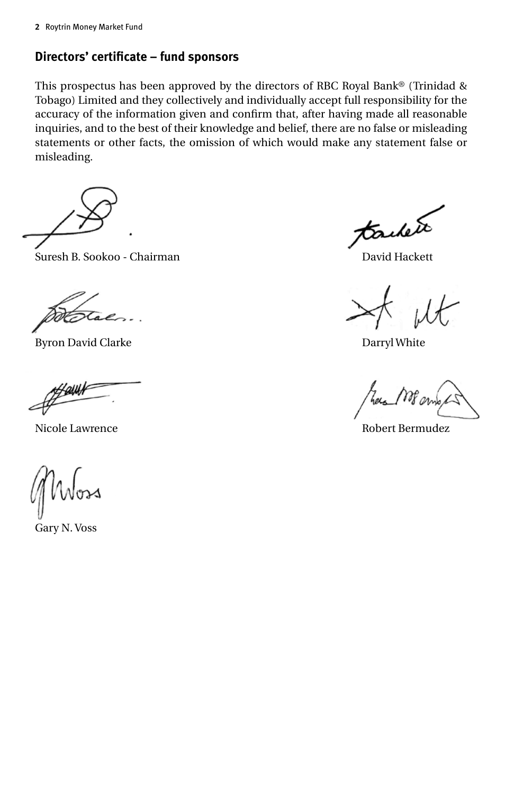### **Directors' certificate – fund sponsors**

This prospectus has been approved by the directors of RBC Royal Bank® (Trinidad & Tobago) Limited and they collectively and individually accept full responsibility for the accuracy of the information given and confirm that, after having made all reasonable inquiries, and to the best of their knowledge and belief, there are no false or misleading statements or other facts, the omission of which would make any statement false or misleading.

Suresh B. Sookoo - Chairman David Hackett

ta

Byron David Clarke Darryl White

awr

Gary N. Voss

tailete

Nicole Lawrence Robert Bermudez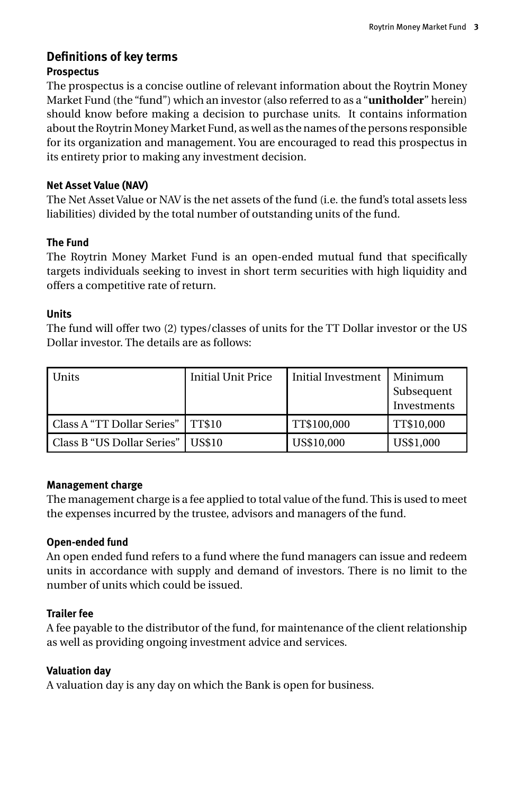### **Definitions of key terms Prospectus**

The prospectus is a concise outline of relevant information about the Roytrin Money Market Fund (the "fund") which an investor (also referred to as a "**unitholder**" herein) should know before making a decision to purchase units. It contains information about the Roytrin Money Market Fund, as well as the names of the persons responsible for its organization and management. You are encouraged to read this prospectus in its entirety prior to making any investment decision.

### **Net Asset Value (NAV)**

The Net Asset Value or NAV is the net assets of the fund (i.e. the fund's total assets less liabilities) divided by the total number of outstanding units of the fund.

### **The Fund**

The Roytrin Money Market Fund is an open-ended mutual fund that specifically targets individuals seeking to invest in short term securities with high liquidity and offers a competitive rate of return.

### **Units**

The fund will offer two (2) types/classes of units for the TT Dollar investor or the US Dollar investor. The details are as follows:

| Units                      | <b>Initial Unit Price</b> | Initial Investment | l Minimum<br>Subsequent<br>Investments |
|----------------------------|---------------------------|--------------------|----------------------------------------|
| Class A "TT Dollar Series" | <b>TT\$10</b>             | TT\$100,000        | TT\$10,000                             |
| Class B "US Dollar Series" | US\$10                    | US\$10,000         | US\$1,000                              |

### **Management charge**

The management charge is a fee applied to total value of the fund. This is used to meet the expenses incurred by the trustee, advisors and managers of the fund.

### **Open-ended fund**

An open ended fund refers to a fund where the fund managers can issue and redeem units in accordance with supply and demand of investors. There is no limit to the number of units which could be issued.

### **Trailer fee**

A fee payable to the distributor of the fund, for maintenance of the client relationship as well as providing ongoing investment advice and services.

### **Valuation day**

A valuation day is any day on which the Bank is open for business.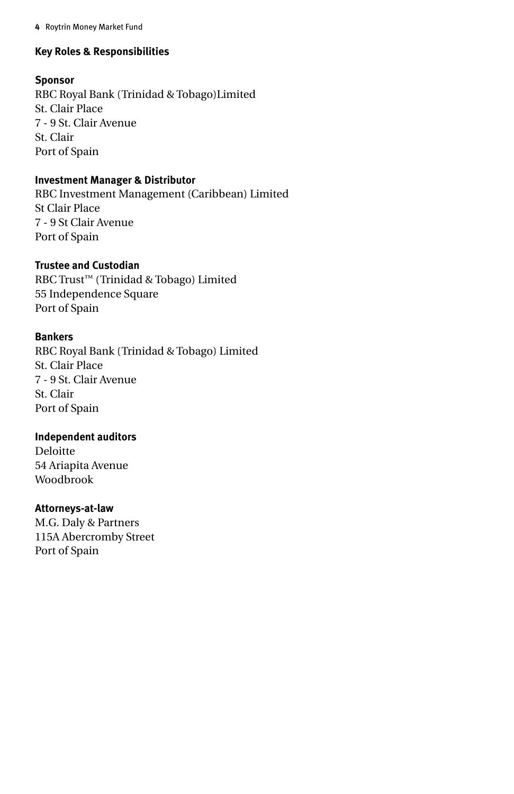### **Key Roles & Responsibilities**

### **Sponsor**

RBC Royal Bank (Trinidad & Tobago)Limited St. Clair Place 7 - 9 St. Clair Avenue St. Clair Port of Spain

### **Investment Manager & Distributor**

RBC Investment Management (Caribbean) Limited St Clair Place 7 - 9 St Clair Avenue Port of Spain

### **Trustee and Custodian**

RBC Trust™ (Trinidad & Tobago) Limited 55 Independence Square Port of Spain

### **Bankers**

RBC Royal Bank (Trinidad & Tobago) Limited St. Clair Place 7 - 9 St. Clair Avenue St. Clair Port of Spain

### **Independent auditors**

Deloitte 54 Ariapita Avenue Woodbrook

### **Attorneys-at-law**

M.G. Daly & Partners 115A Abercromby Street Port of Spain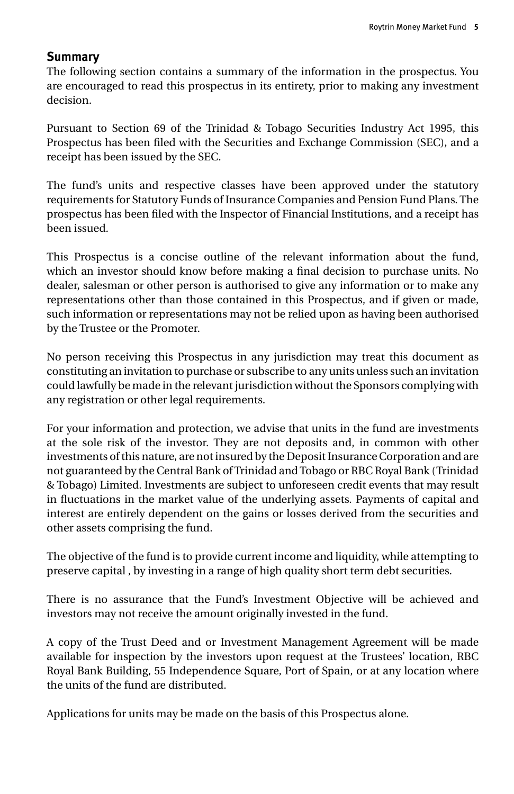### **Summary**

The following section contains a summary of the information in the prospectus. You are encouraged to read this prospectus in its entirety, prior to making any investment decision.

Pursuant to Section 69 of the Trinidad & Tobago Securities Industry Act 1995, this Prospectus has been filed with the Securities and Exchange Commission (SEC), and a receipt has been issued by the SEC.

The fund's units and respective classes have been approved under the statutory requirements for Statutory Funds of Insurance Companies and Pension Fund Plans. The prospectus has been filed with the Inspector of Financial Institutions, and a receipt has been issued.

This Prospectus is a concise outline of the relevant information about the fund, which an investor should know before making a final decision to purchase units. No dealer, salesman or other person is authorised to give any information or to make any representations other than those contained in this Prospectus, and if given or made, such information or representations may not be relied upon as having been authorised by the Trustee or the Promoter.

No person receiving this Prospectus in any jurisdiction may treat this document as constituting an invitation to purchase or subscribe to any units unless such an invitation could lawfully be made in the relevant jurisdiction without the Sponsors complying with any registration or other legal requirements.

For your information and protection, we advise that units in the fund are investments at the sole risk of the investor. They are not deposits and, in common with other investments of this nature, are not insured by the Deposit Insurance Corporation and are not guaranteed by the Central Bank of Trinidad and Tobago or RBC Royal Bank (Trinidad & Tobago) Limited. Investments are subject to unforeseen credit events that may result in fluctuations in the market value of the underlying assets. Payments of capital and interest are entirely dependent on the gains or losses derived from the securities and other assets comprising the fund.

The objective of the fund is to provide current income and liquidity, while attempting to preserve capital , by investing in a range of high quality short term debt securities.

There is no assurance that the Fund's Investment Objective will be achieved and investors may not receive the amount originally invested in the fund.

A copy of the Trust Deed and or Investment Management Agreement will be made available for inspection by the investors upon request at the Trustees' location, RBC Royal Bank Building, 55 Independence Square, Port of Spain, or at any location where the units of the fund are distributed.

Applications for units may be made on the basis of this Prospectus alone.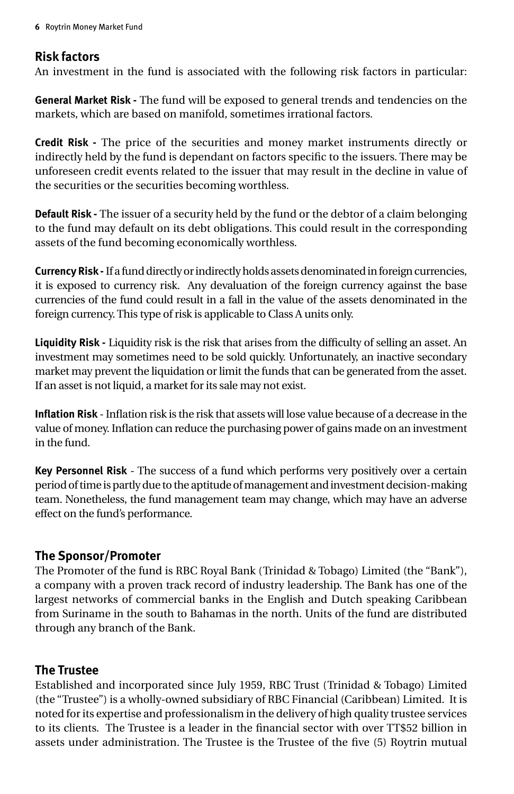### **Risk factors**

An investment in the fund is associated with the following risk factors in particular:

**General Market Risk -** The fund will be exposed to general trends and tendencies on the markets, which are based on manifold, sometimes irrational factors.

**Credit Risk -** The price of the securities and money market instruments directly or indirectly held by the fund is dependant on factors specific to the issuers. There may be unforeseen credit events related to the issuer that may result in the decline in value of the securities or the securities becoming worthless.

**Default Risk -** The issuer of a security held by the fund or the debtor of a claim belonging to the fund may default on its debt obligations. This could result in the corresponding assets of the fund becoming economically worthless.

**Currency Risk -** If a fund directly or indirectly holds assets denominated in foreign currencies, it is exposed to currency risk. Any devaluation of the foreign currency against the base currencies of the fund could result in a fall in the value of the assets denominated in the foreign currency. This type of risk is applicable to Class A units only.

**Liquidity Risk -** Liquidity risk is the risk that arises from the difficulty of selling an asset. An investment may sometimes need to be sold quickly. Unfortunately, an inactive secondary market may prevent the liquidation or limit the funds that can be generated from the asset. If an asset is not liquid, a market for its sale may not exist.

**Inflation Risk** - Inflation risk is the risk that assets will lose value because of a decrease in the value of money. Inflation can reduce the purchasing power of gains made on an investment in the fund.

**Key Personnel Risk** - The success of a fund which performs very positively over a certain period of time is partly due to the aptitude of management and investment decision-making team. Nonetheless, the fund management team may change, which may have an adverse effect on the fund's performance.

### **The Sponsor/Promoter**

The Promoter of the fund is RBC Royal Bank (Trinidad & Tobago) Limited (the "Bank"), a company with a proven track record of industry leadership. The Bank has one of the largest networks of commercial banks in the English and Dutch speaking Caribbean from Suriname in the south to Bahamas in the north. Units of the fund are distributed through any branch of the Bank.

### **The Trustee**

Established and incorporated since July 1959, RBC Trust (Trinidad & Tobago) Limited (the "Trustee") is a wholly-owned subsidiary of RBC Financial (Caribbean) Limited. It is noted for its expertise and professionalism in the delivery of high quality trustee services to its clients. The Trustee is a leader in the financial sector with over TT\$52 billion in assets under administration. The Trustee is the Trustee of the five (5) Roytrin mutual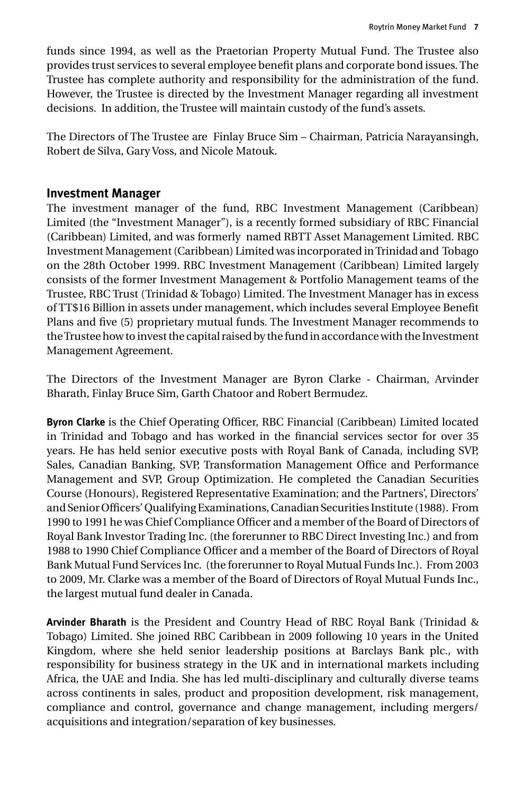funds since 1994, as well as the Praetorian Property Mutual Fund. The Trustee also provides trust services to several employee benefit plans and corporate bond issues. The Trustee has complete authority and responsibility for the administration of the fund. However, the Trustee is directed by the Investment Manager regarding all investment decisions. In addition, the Trustee will maintain custody of the fund's assets.

The Directors of The Trustee are Finlay Bruce Sim – Chairman, Patricia Narayansingh, Robert de Silva, Gary Voss, and Nicole Matouk.

### **Investment Manager**

The investment manager of the fund, RBC Investment Management (Caribbean) Limited (the "Investment Manager"), is a recently formed subsidiary of RBC Financial (Caribbean) Limited, and was formerly named RBTT Asset Management Limited. RBC Investment Management (Caribbean) Limited was incorporated in Trinidad and Tobago on the 28th October 1999. RBC Investment Management (Caribbean) Limited largely consists of the former Investment Management & Portfolio Management teams of the Trustee, RBC Trust (Trinidad & Tobago) Limited. The Investment Manager has in excess of TT\$16 Billion in assets under management, which includes several Employee Benefit Plans and five (5) proprietary mutual funds. The Investment Manager recommends to the Trustee how to invest the capital raised by the fund in accordance with the Investment Management Agreement.

The Directors of the Investment Manager are Byron Clarke - Chairman, Arvinder Bharath, Finlay Bruce Sim, Garth Chatoor and Robert Bermudez.

**Byron Clarke** is the Chief Operating Officer, RBC Financial (Caribbean) Limited located in Trinidad and Tobago and has worked in the financial services sector for over 35 years. He has held senior executive posts with Royal Bank of Canada, including SVP, Sales, Canadian Banking, SVP, Transformation Management Office and Performance Management and SVP, Group Optimization. He completed the Canadian Securities Course (Honours), Registered Representative Examination; and the Partners', Directors' and Senior Officers' Qualifying Examinations, Canadian Securities Institute (1988). From 1990 to 1991 he was Chief Compliance Officer and a member of the Board of Directors of Royal Bank Investor Trading Inc. (the forerunner to RBC Direct Investing Inc.) and from 1988 to 1990 Chief Compliance Officer and a member of the Board of Directors of Royal Bank Mutual Fund Services Inc. (the forerunner to Royal Mutual Funds Inc.). From 2003 to 2009, Mr. Clarke was a member of the Board of Directors of Royal Mutual Funds Inc., the largest mutual fund dealer in Canada.

**Arvinder Bharath** is the President and Country Head of RBC Royal Bank (Trinidad & Tobago) Limited. She joined RBC Caribbean in 2009 following 10 years in the United Kingdom, where she held senior leadership positions at Barclays Bank plc., with responsibility for business strategy in the UK and in international markets including Africa, the UAE and India. She has led multi-disciplinary and culturally diverse teams across continents in sales, product and proposition development, risk management, compliance and control, governance and change management, including mergers/ acquisitions and integration/separation of key businesses.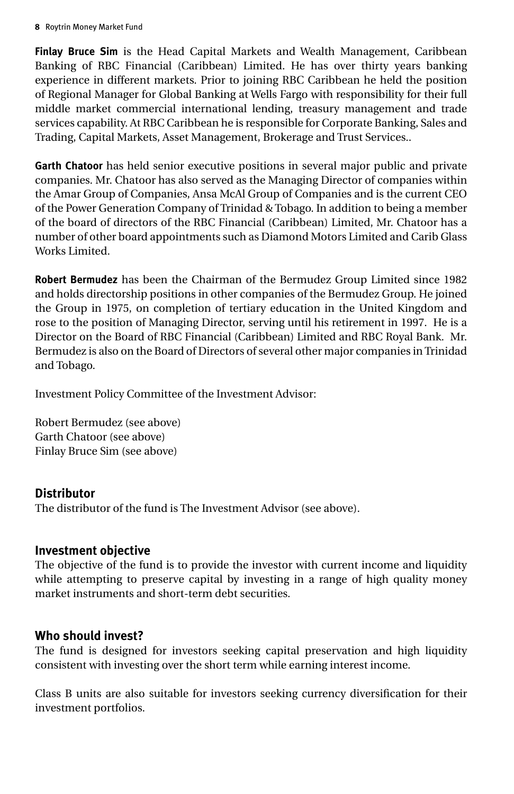**Finlay Bruce Sim** is the Head Capital Markets and Wealth Management, Caribbean Banking of RBC Financial (Caribbean) Limited. He has over thirty years banking experience in different markets. Prior to joining RBC Caribbean he held the position of Regional Manager for Global Banking at Wells Fargo with responsibility for their full middle market commercial international lending, treasury management and trade services capability. At RBC Caribbean he is responsible for Corporate Banking, Sales and Trading, Capital Markets, Asset Management, Brokerage and Trust Services..

**Garth Chatoor** has held senior executive positions in several major public and private companies. Mr. Chatoor has also served as the Managing Director of companies within the Amar Group of Companies, Ansa McAl Group of Companies and is the current CEO of the Power Generation Company of Trinidad & Tobago. In addition to being a member of the board of directors of the RBC Financial (Caribbean) Limited, Mr. Chatoor has a number of other board appointments such as Diamond Motors Limited and Carib Glass Works Limited.

**Robert Bermudez** has been the Chairman of the Bermudez Group Limited since 1982 and holds directorship positions in other companies of the Bermudez Group. He joined the Group in 1975, on completion of tertiary education in the United Kingdom and rose to the position of Managing Director, serving until his retirement in 1997. He is a Director on the Board of RBC Financial (Caribbean) Limited and RBC Royal Bank. Mr. Bermudez is also on the Board of Directors of several other major companies in Trinidad and Tobago.

Investment Policy Committee of the Investment Advisor:

Robert Bermudez (see above) Garth Chatoor (see above) Finlay Bruce Sim (see above)

### **Distributor**

The distributor of the fund is The Investment Advisor (see above).

### **Investment objective**

The objective of the fund is to provide the investor with current income and liquidity while attempting to preserve capital by investing in a range of high quality money market instruments and short-term debt securities.

### **Who should invest?**

The fund is designed for investors seeking capital preservation and high liquidity consistent with investing over the short term while earning interest income.

Class B units are also suitable for investors seeking currency diversification for their investment portfolios.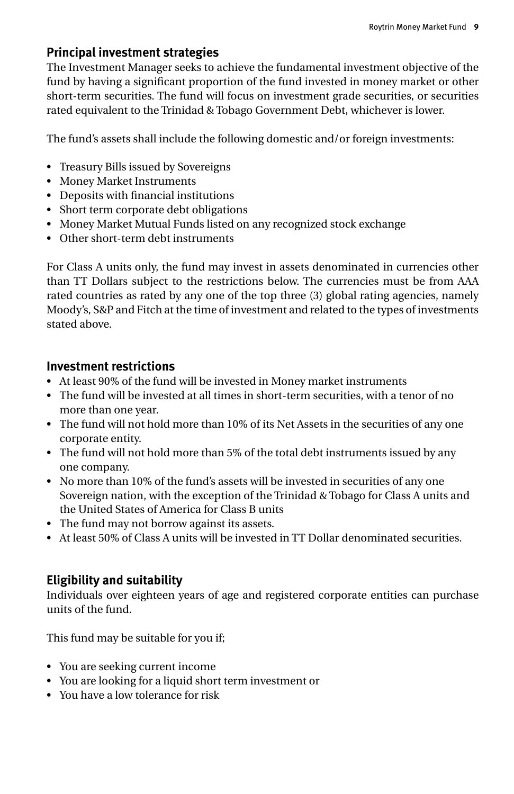### **Principal investment strategies**

The Investment Manager seeks to achieve the fundamental investment objective of the fund by having a significant proportion of the fund invested in money market or other short-term securities. The fund will focus on investment grade securities, or securities rated equivalent to the Trinidad & Tobago Government Debt, whichever is lower.

The fund's assets shall include the following domestic and/or foreign investments:

- Treasury Bills issued by Sovereigns
- • Money Market Instruments
- • Deposits with financial institutions
- Short term corporate debt obligations
- Money Market Mutual Funds listed on any recognized stock exchange
- Other short-term debt instruments

For Class A units only, the fund may invest in assets denominated in currencies other than TT Dollars subject to the restrictions below. The currencies must be from AAA rated countries as rated by any one of the top three (3) global rating agencies, namely Moody's, S&P and Fitch at the time of investment and related to the types of investments stated above.

### **Investment restrictions**

- • At least 90% of the fund will be invested in Money market instruments
- • The fund will be invested at all times in short-term securities, with a tenor of no more than one year.
- The fund will not hold more than 10% of its Net Assets in the securities of any one corporate entity.
- The fund will not hold more than 5% of the total debt instruments issued by any one company.
- No more than 10% of the fund's assets will be invested in securities of any one Sovereign nation, with the exception of the Trinidad & Tobago for Class A units and the United States of America for Class B units
- The fund may not borrow against its assets.
- • At least 50% of Class A units will be invested in TT Dollar denominated securities.

### **Eligibility and suitability**

Individuals over eighteen years of age and registered corporate entities can purchase units of the fund.

This fund may be suitable for you if;

- • You are seeking current income
- • You are looking for a liquid short term investment or
- You have a low tolerance for risk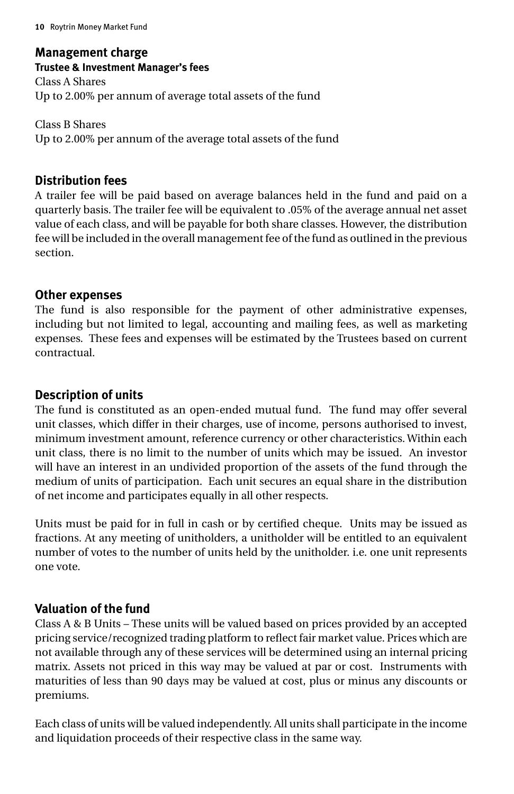### **Management charge Trustee & Investment Manager's fees** Class A Shares Up to 2.00% per annum of average total assets of the fund

Class B Shares Up to 2.00% per annum of the average total assets of the fund

### **Distribution fees**

A trailer fee will be paid based on average balances held in the fund and paid on a quarterly basis. The trailer fee will be equivalent to .05% of the average annual net asset value of each class, and will be payable for both share classes. However, the distribution fee will be included in the overall management fee of the fund as outlined in the previous section.

### **Other expenses**

The fund is also responsible for the payment of other administrative expenses, including but not limited to legal, accounting and mailing fees, as well as marketing expenses. These fees and expenses will be estimated by the Trustees based on current contractual.

### **Description of units**

The fund is constituted as an open-ended mutual fund. The fund may offer several unit classes, which differ in their charges, use of income, persons authorised to invest, minimum investment amount, reference currency or other characteristics. Within each unit class, there is no limit to the number of units which may be issued. An investor will have an interest in an undivided proportion of the assets of the fund through the medium of units of participation. Each unit secures an equal share in the distribution of net income and participates equally in all other respects.

Units must be paid for in full in cash or by certified cheque. Units may be issued as fractions. At any meeting of unitholders, a unitholder will be entitled to an equivalent number of votes to the number of units held by the unitholder. i.e. one unit represents one vote.

### **Valuation of the fund**

Class A & B Units – These units will be valued based on prices provided by an accepted pricing service/recognized trading platform to reflect fair market value. Prices which are not available through any of these services will be determined using an internal pricing matrix. Assets not priced in this way may be valued at par or cost. Instruments with maturities of less than 90 days may be valued at cost, plus or minus any discounts or premiums.

Each class of units will be valued independently. All units shall participate in the income and liquidation proceeds of their respective class in the same way.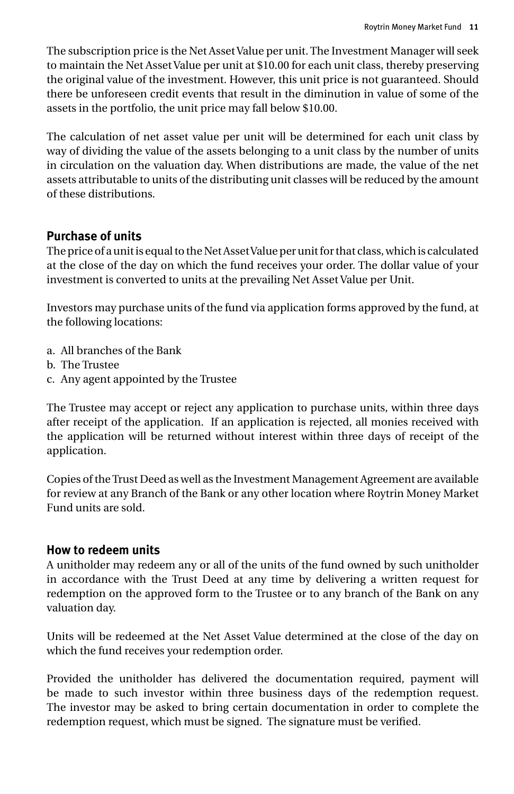The subscription price is the Net Asset Value per unit. The Investment Manager will seek to maintain the Net Asset Value per unit at \$10.00 for each unit class, thereby preserving the original value of the investment. However, this unit price is not guaranteed. Should there be unforeseen credit events that result in the diminution in value of some of the assets in the portfolio, the unit price may fall below \$10.00.

The calculation of net asset value per unit will be determined for each unit class by way of dividing the value of the assets belonging to a unit class by the number of units in circulation on the valuation day. When distributions are made, the value of the net assets attributable to units of the distributing unit classes will be reduced by the amount of these distributions.

### **Purchase of units**

The price of a unit is equal to the Net Asset Value per unit for that class, which is calculated at the close of the day on which the fund receives your order. The dollar value of your investment is converted to units at the prevailing Net Asset Value per Unit.

Investors may purchase units of the fund via application forms approved by the fund, at the following locations:

- a. All branches of the Bank
- b. The Trustee
- c. Any agent appointed by the Trustee

The Trustee may accept or reject any application to purchase units, within three days after receipt of the application. If an application is rejected, all monies received with the application will be returned without interest within three days of receipt of the application.

Copies of the Trust Deed as well as the Investment Management Agreement are available for review at any Branch of the Bank or any other location where Roytrin Money Market Fund units are sold.

### **How to redeem units**

A unitholder may redeem any or all of the units of the fund owned by such unitholder in accordance with the Trust Deed at any time by delivering a written request for redemption on the approved form to the Trustee or to any branch of the Bank on any valuation day.

Units will be redeemed at the Net Asset Value determined at the close of the day on which the fund receives your redemption order.

Provided the unitholder has delivered the documentation required, payment will be made to such investor within three business days of the redemption request. The investor may be asked to bring certain documentation in order to complete the redemption request, which must be signed. The signature must be verified.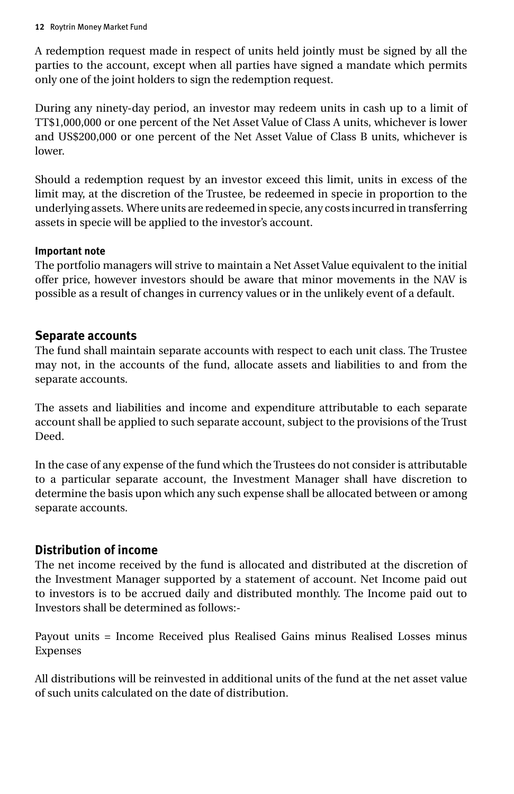A redemption request made in respect of units held jointly must be signed by all the parties to the account, except when all parties have signed a mandate which permits only one of the joint holders to sign the redemption request.

During any ninety-day period, an investor may redeem units in cash up to a limit of TT\$1,000,000 or one percent of the Net Asset Value of Class A units, whichever is lower and US\$200,000 or one percent of the Net Asset Value of Class B units, whichever is lower.

Should a redemption request by an investor exceed this limit, units in excess of the limit may, at the discretion of the Trustee, be redeemed in specie in proportion to the underlying assets. Where units are redeemed in specie, any costs incurred in transferring assets in specie will be applied to the investor's account.

### **Important note**

The portfolio managers will strive to maintain a Net Asset Value equivalent to the initial offer price, however investors should be aware that minor movements in the NAV is possible as a result of changes in currency values or in the unlikely event of a default.

### **Separate accounts**

The fund shall maintain separate accounts with respect to each unit class. The Trustee may not, in the accounts of the fund, allocate assets and liabilities to and from the separate accounts.

The assets and liabilities and income and expenditure attributable to each separate account shall be applied to such separate account, subject to the provisions of the Trust Deed.

In the case of any expense of the fund which the Trustees do not consider is attributable to a particular separate account, the Investment Manager shall have discretion to determine the basis upon which any such expense shall be allocated between or among separate accounts.

### **Distribution of income**

The net income received by the fund is allocated and distributed at the discretion of the Investment Manager supported by a statement of account. Net Income paid out to investors is to be accrued daily and distributed monthly. The Income paid out to Investors shall be determined as follows:-

Payout units = Income Received plus Realised Gains minus Realised Losses minus Expenses

All distributions will be reinvested in additional units of the fund at the net asset value of such units calculated on the date of distribution.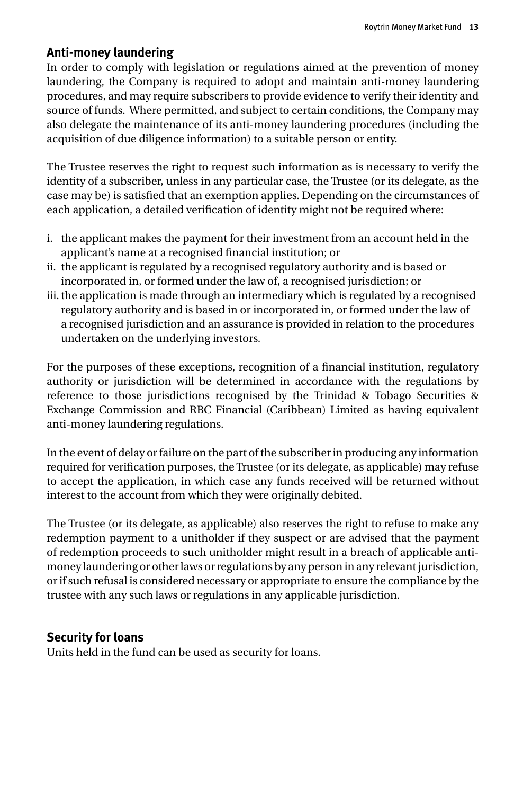### **Anti-money laundering**

In order to comply with legislation or regulations aimed at the prevention of money laundering, the Company is required to adopt and maintain anti-money laundering procedures, and may require subscribers to provide evidence to verify their identity and source of funds. Where permitted, and subject to certain conditions, the Company may also delegate the maintenance of its anti-money laundering procedures (including the acquisition of due diligence information) to a suitable person or entity.

The Trustee reserves the right to request such information as is necessary to verify the identity of a subscriber, unless in any particular case, the Trustee (or its delegate, as the case may be) is satisfied that an exemption applies. Depending on the circumstances of each application, a detailed verification of identity might not be required where:

- i. the applicant makes the payment for their investment from an account held in the applicant's name at a recognised financial institution; or
- ii. the applicant is regulated by a recognised regulatory authority and is based or incorporated in, or formed under the law of, a recognised jurisdiction; or
- iii. the application is made through an intermediary which is regulated by a recognised regulatory authority and is based in or incorporated in, or formed under the law of a recognised jurisdiction and an assurance is provided in relation to the procedures undertaken on the underlying investors.

For the purposes of these exceptions, recognition of a financial institution, regulatory authority or jurisdiction will be determined in accordance with the regulations by reference to those jurisdictions recognised by the Trinidad & Tobago Securities & Exchange Commission and RBC Financial (Caribbean) Limited as having equivalent anti-money laundering regulations.

In the event of delay or failure on the part of the subscriber in producing any information required for verification purposes, the Trustee (or its delegate, as applicable) may refuse to accept the application, in which case any funds received will be returned without interest to the account from which they were originally debited.

The Trustee (or its delegate, as applicable) also reserves the right to refuse to make any redemption payment to a unitholder if they suspect or are advised that the payment of redemption proceeds to such unitholder might result in a breach of applicable antimoney laundering or other laws or regulations by any person in any relevant jurisdiction, or if such refusal is considered necessary or appropriate to ensure the compliance by the trustee with any such laws or regulations in any applicable jurisdiction.

### **Security for loans**

Units held in the fund can be used as security for loans.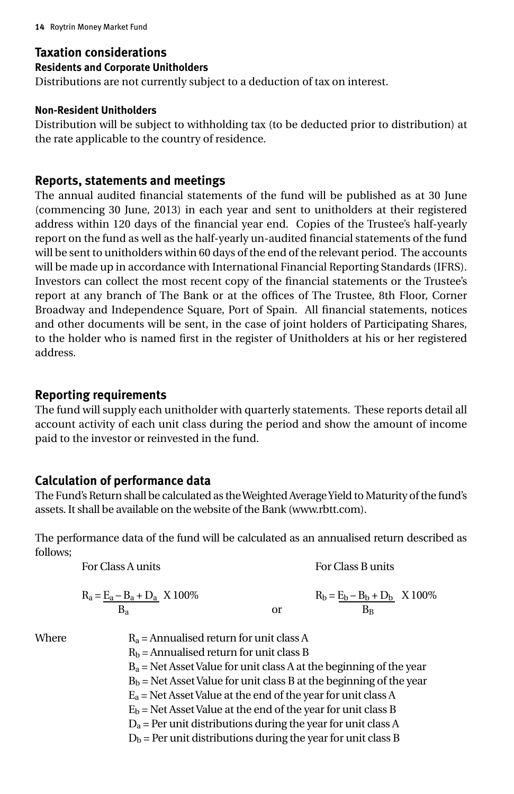### **Taxation considerations**

#### **Residents and Corporate Unitholders**

Distributions are not currently subject to a deduction of tax on interest.

#### **Non-Resident Unitholders**

Distribution will be subject to withholding tax (to be deducted prior to distribution) at the rate applicable to the country of residence.

### **Reports, statements and meetings**

The annual audited financial statements of the fund will be published as at 30 June (commencing 30 June, 2013) in each year and sent to unitholders at their registered address within 120 days of the financial year end. Copies of the Trustee's half-yearly report on the fund as well as the half-yearly un-audited financial statements of the fund will be sent to unitholders within 60 days of the end of the relevant period. The accounts will be made up in accordance with International Financial Reporting Standards (IFRS). Investors can collect the most recent copy of the financial statements or the Trustee's report at any branch of The Bank or at the offices of The Trustee, 8th Floor, Corner Broadway and Independence Square, Port of Spain. All financial statements, notices and other documents will be sent, in the case of joint holders of Participating Shares, to the holder who is named first in the register of Unitholders at his or her registered address.

### **Reporting requirements**

The fund will supply each unitholder with quarterly statements. These reports detail all account activity of each unit class during the period and show the amount of income paid to the investor or reinvested in the fund.

### **Calculation of performance data**

The Fund's Return shall be calculated as the Weighted Average Yield to Maturity of the fund's assets. It shall be available on the website of the Bank (www.rbtt.com).

The performance data of the fund will be calculated as an annualised return described as follows;

|       | For Class A units                                                     |               | For Class B units              |  |
|-------|-----------------------------------------------------------------------|---------------|--------------------------------|--|
|       | $R_a = E_a - B_a + D_a$ X 100%                                        |               | $R_b = E_b - B_b + D_b$ X 100% |  |
|       | $B_a$                                                                 | <sub>or</sub> | $B_B$                          |  |
| Where | $R_a$ = Annualised return for unit class A                            |               |                                |  |
|       | $R_b$ = Annualised return for unit class B                            |               |                                |  |
|       | $B_a$ = Net Asset Value for unit class A at the beginning of the year |               |                                |  |
|       | $Bb$ = Net Asset Value for unit class B at the beginning of the year  |               |                                |  |
|       | $E_a$ = Net Asset Value at the end of the year for unit class A       |               |                                |  |
|       | $E_b$ = Net Asset Value at the end of the year for unit class B       |               |                                |  |

 $D_a$  = Per unit distributions during the year for unit class A

 $D<sub>b</sub>$  = Per unit distributions during the year for unit class B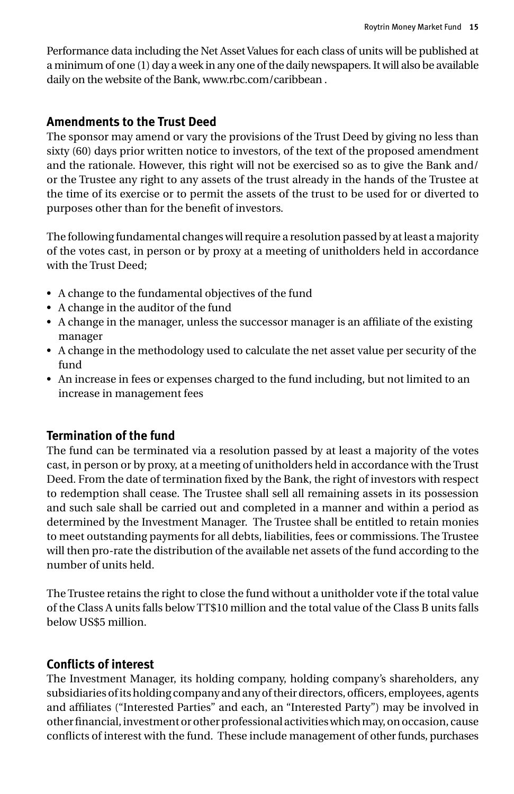Performance data including the Net Asset Values for each class of units will be published at a minimum of one (1) day a week in any one of the daily newspapers. It will also be available daily on the website of the Bank, www.rbc.com/caribbean .

### **Amendments to the Trust Deed**

The sponsor may amend or vary the provisions of the Trust Deed by giving no less than sixty (60) days prior written notice to investors, of the text of the proposed amendment and the rationale. However, this right will not be exercised so as to give the Bank and/ or the Trustee any right to any assets of the trust already in the hands of the Trustee at the time of its exercise or to permit the assets of the trust to be used for or diverted to purposes other than for the benefit of investors.

The following fundamental changes will require a resolution passed by at least a majority of the votes cast, in person or by proxy at a meeting of unitholders held in accordance with the Trust Deed;

- • A change to the fundamental objectives of the fund
- • A change in the auditor of the fund
- • A change in the manager, unless the successor manager is an affiliate of the existing manager
- • A change in the methodology used to calculate the net asset value per security of the fund
- • An increase in fees or expenses charged to the fund including, but not limited to an increase in management fees

### **Termination of the fund**

The fund can be terminated via a resolution passed by at least a majority of the votes cast, in person or by proxy, at a meeting of unitholders held in accordance with the Trust Deed. From the date of termination fixed by the Bank, the right of investors with respect to redemption shall cease. The Trustee shall sell all remaining assets in its possession and such sale shall be carried out and completed in a manner and within a period as determined by the Investment Manager. The Trustee shall be entitled to retain monies to meet outstanding payments for all debts, liabilities, fees or commissions. The Trustee will then pro-rate the distribution of the available net assets of the fund according to the number of units held.

The Trustee retains the right to close the fund without a unitholder vote if the total value of the Class A units falls below TT\$10 million and the total value of the Class B units falls below US\$5 million.

### **Conflicts of interest**

The Investment Manager, its holding company, holding company's shareholders, any subsidiaries of its holding company and any of their directors, officers, employees, agents and affiliates ("Interested Parties" and each, an "Interested Party") may be involved in other financial, investment or other professional activities which may, on occasion, cause conflicts of interest with the fund. These include management of other funds, purchases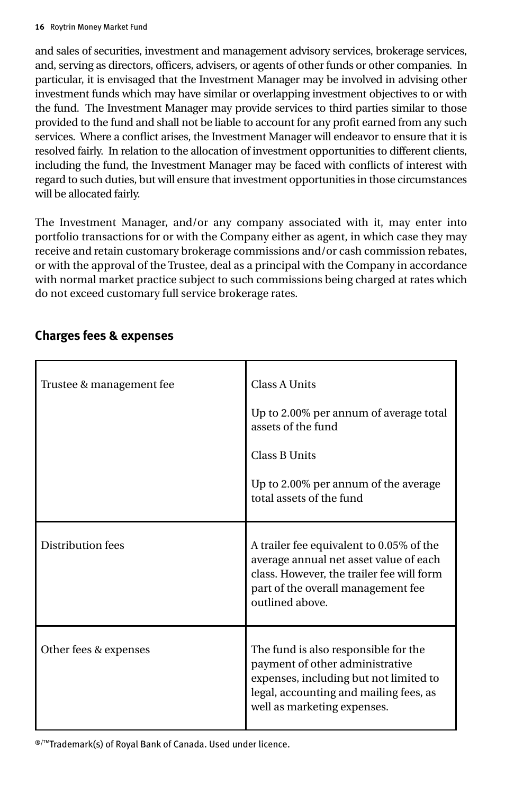and sales of securities, investment and management advisory services, brokerage services, and, serving as directors, officers, advisers, or agents of other funds or other companies. In particular, it is envisaged that the Investment Manager may be involved in advising other investment funds which may have similar or overlapping investment objectives to or with the fund. The Investment Manager may provide services to third parties similar to those provided to the fund and shall not be liable to account for any profit earned from any such services. Where a conflict arises, the Investment Manager will endeavor to ensure that it is resolved fairly. In relation to the allocation of investment opportunities to different clients, including the fund, the Investment Manager may be faced with conflicts of interest with regard to such duties, but will ensure that investment opportunities in those circumstances will be allocated fairly.

The Investment Manager, and/or any company associated with it, may enter into portfolio transactions for or with the Company either as agent, in which case they may receive and retain customary brokerage commissions and/or cash commission rebates, or with the approval of the Trustee, deal as a principal with the Company in accordance with normal market practice subject to such commissions being charged at rates which do not exceed customary full service brokerage rates.

| Trustee & management fee | <b>Class A Units</b><br>Up to 2.00% per annum of average total<br>assets of the fund<br><b>Class B Units</b><br>Up to 2.00% per annum of the average<br>total assets of the fund           |
|--------------------------|--------------------------------------------------------------------------------------------------------------------------------------------------------------------------------------------|
| Distribution fees        | A trailer fee equivalent to 0.05% of the<br>average annual net asset value of each<br>class. However, the trailer fee will form<br>part of the overall management fee<br>outlined above.   |
| Other fees & expenses    | The fund is also responsible for the<br>payment of other administrative<br>expenses, including but not limited to<br>legal, accounting and mailing fees, as<br>well as marketing expenses. |

### **Charges fees & expenses**

®/™Trademark(s) of Royal Bank of Canada. Used under licence.